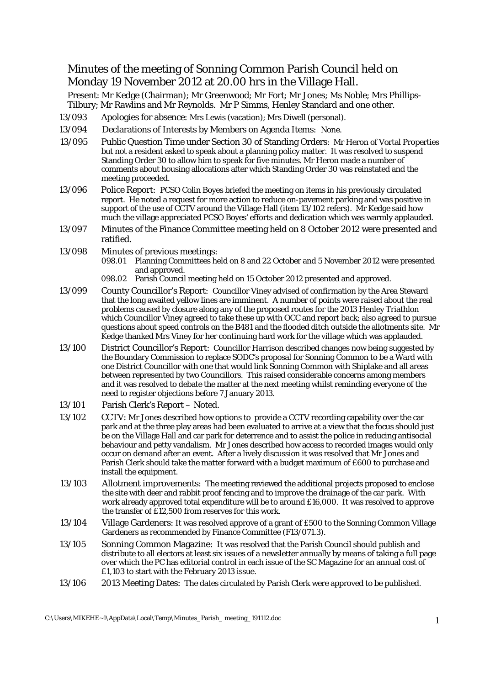## Minutes of the meeting of Sonning Common Parish Council held on Monday 19 November 2012 at 20.00 hrs in the Village Hall.

Present: Mr Kedge (Chairman); Mr Greenwood; Mr Fort; Mr Jones; Ms Noble; Mrs Phillips-Tilbury; Mr Rawlins and Mr Reynolds. Mr P Simms, Henley Standard and one other.

- 13/093 Apologies for absence: Mrs Lewis (vacation); Mrs Diwell (personal).
- 13/094 Declarations of Interests by Members on Agenda Items: None.
- 13/095 Public Question Time under Section 30 of Standing Orders: Mr Heron of Vortal Properties but not a resident asked to speak about a planning policy matter. It was resolved to suspend Standing Order 30 to allow him to speak for five minutes. Mr Heron made a number of comments about housing allocations after which Standing Order 30 was reinstated and the meeting proceeded.
- 13/096 Police Report: PCSO Colin Boyes briefed the meeting on items in his previously circulated report. He noted a request for more action to reduce on-pavement parking and was positive in support of the use of CCTV around the Village Hall (item 13/102 refers). Mr Kedge said how much the village appreciated PCSO Boyes' efforts and dedication which was warmly applauded.
- 13/097 Minutes of the Finance Committee meeting held on 8 October 2012 were presented and ratified.
- 13/098 Minutes of previous meetings:
	- 098.01 Planning Committees held on 8 and 22 October and 5 November 2012 were presented and approved.
	- 098.02 Parish Council meeting held on 15 October 2012 presented and approved.
- 13/099 County Councillor's Report: Councillor Viney advised of confirmation by the Area Steward that the long awaited yellow lines are imminent. A number of points were raised about the real problems caused by closure along any of the proposed routes for the 2013 Henley Triathlon which Councillor Viney agreed to take these up with OCC and report back; also agreed to pursue questions about speed controls on the B481 and the flooded ditch outside the allotments site. Mr Kedge thanked Mrs Viney for her continuing hard work for the village which was applauded.
- 13/100 District Councillor's Report: Councillor Harrison described changes now being suggested by the Boundary Commission to replace SODC's proposal for Sonning Common to be a Ward with one District Councillor with one that would link Sonning Common with Shiplake and all areas between represented by two Councillors. This raised considerable concerns among members and it was resolved to debate the matter at the next meeting whilst reminding everyone of the need to register objections before 7 January 2013.
- 13/101 Parish Clerk's Report Noted.
- 13/102 CCTV: Mr Jones described how options to provide a CCTV recording capability over the car park and at the three play areas had been evaluated to arrive at a view that the focus should just be on the Village Hall and car park for deterrence and to assist the police in reducing antisocial behaviour and petty vandalism. Mr Jones described how access to recorded images would only occur on demand after an event. After a lively discussion it was resolved that Mr Jones and Parish Clerk should take the matter forward with a budget maximum of £600 to purchase and install the equipment.
- 13/103 Allotment improvements: The meeting reviewed the additional projects proposed to enclose the site with deer and rabbit proof fencing and to improve the drainage of the car park. With work already approved total expenditure will be to around £16,000. It was resolved to approve the transfer of £12,500 from reserves for this work.
- 13/104 Village Gardeners: It was resolved approve of a grant of £500 to the Sonning Common Village Gardeners as recommended by Finance Committee (F13/071.3).
- 13/105 Sonning Common Magazine: It was resolved that the Parish Council should publish and distribute to all electors at least six issues of a newsletter annually by means of taking a full page over which the PC has editorial control in each issue of the SC Magazine for an annual cost of £1,103 to start with the February 2013 issue.
- 13/106 2013 Meeting Dates: The dates circulated by Parish Clerk were approved to be published.